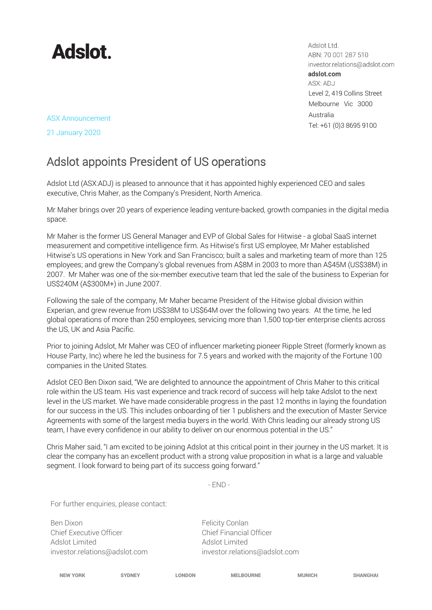

Adslot Ltd. ABN: 70 001 287 510 investor.relations@adslot.com adslot.com ASX: ADJ Level 2, 419 Collins Street Melbourne Vic 3000 Australia Tel: +61 (0)3 8695 9100

ASX Announcement

21 January 2020

## Adslot appoints President of US operations

Adslot Ltd (ASX:ADJ) is pleased to announce that it has appointed highly experienced CEO and sales executive, Chris Maher, as the Company's President, North America.

Mr Maher brings over 20 years of experience leading venture-backed, growth companies in the digital media space.

Mr Maher is the former US General Manager and EVP of Global Sales for Hitwise - a global SaaS internet measurement and competitive intelligence firm. As Hitwise's first US employee, Mr Maher established Hitwise's US operations in New York and San Francisco; built a sales and marketing team of more than 125 employees; and grew the Company's global revenues from A\$8M in 2003 to more than A\$45M (US\$38M) in 2007. Mr Maher was one of the six-member executive team that led the sale of the business to Experian for US\$240M (A\$300M+) in June 2007.

Following the sale of the company, Mr Maher became President of the Hitwise global division within Experian, and grew revenue from US\$38M to US\$64M over the following two years. At the time, he led global operations of more than 250 employees, servicing more than 1,500 top-tier enterprise clients across the US, UK and Asia Pacific.

Prior to joining Adslot, Mr Maher was CEO of influencer marketing pioneer Ripple Street (formerly known as House Party, Inc) where he led the business for 7.5 years and worked with the majority of the Fortune 100 companies in the United States.

Adslot CEO Ben Dixon said, "We are delighted to announce the appointment of Chris Maher to this critical role within the US team. His vast experience and track record of success will help take Adslot to the next level in the US market. We have made considerable progress in the past 12 months in laying the foundation for our success in the US. This includes onboarding of tier 1 publishers and the execution of Master Service Agreements with some of the largest media buyers in the world. With Chris leading our already strong US team, I have every confidence in our ability to deliver on our enormous potential in the US."

Chris Maher said, "I am excited to be joining Adslot at this critical point in their journey in the US market. It is clear the company has an excellent product with a strong value proposition in what is a large and valuable segment. I look forward to being part of its success going forward."

- END -

For further enquiries, please contact:

Ben Dixon Felicity Conlan Chief Executive Officer **Chief Financial Officer** Adslot Limited Adslot Limited

investor.relations@adslot.com investor.relations@adslot.com

| iew yo<br>ı |  |  |
|-------------|--|--|

NEW YORK SYDNEY LONDON MELBOURNE MUNICH SHANGHAI